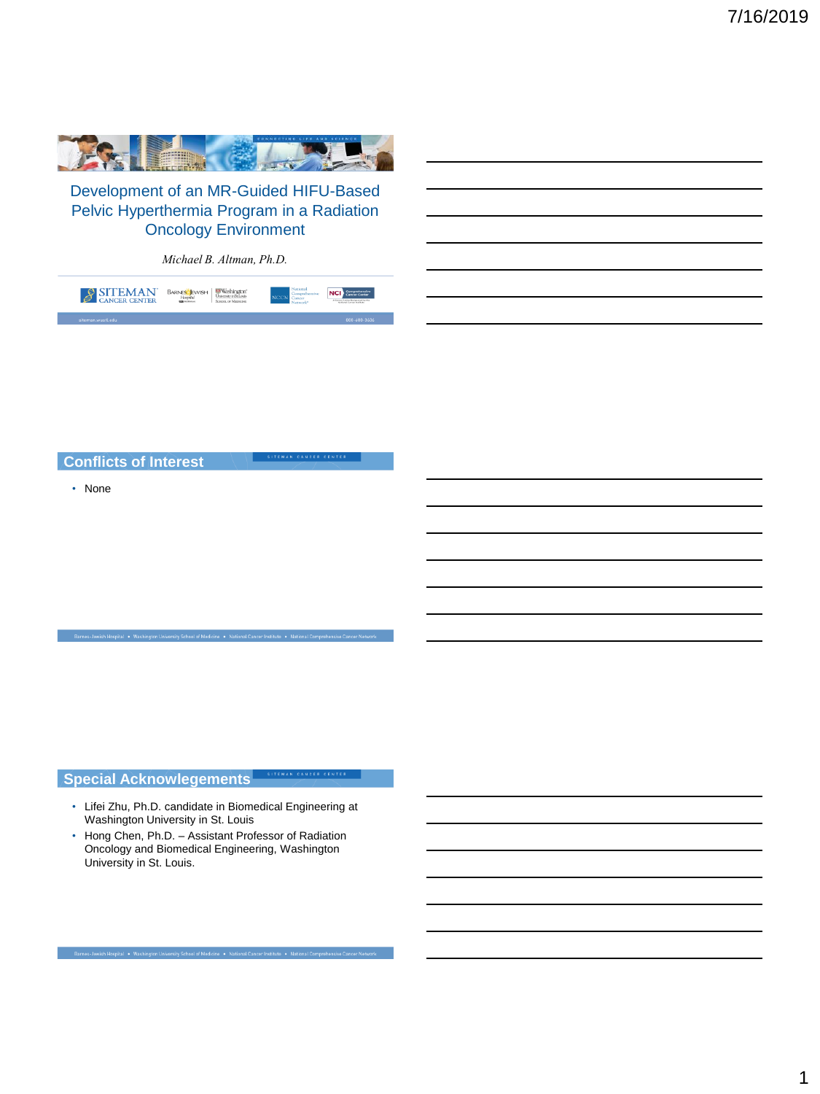

Development of an MR-Guided HIFU-Based Pelvic Hyperthermia Program in a Radiation Oncology Environment

*Michael B. Altman, Ph.D.*

| SITEMAN <sup>®</sup> | BARNES EWISH | National | NGI Comprehensive |
|----------------------|--------------|----------|-------------------|
| siteman.wustLedu     |              |          | 800-600-36064     |

## **Conflicts of Interest**

• None

# **Special Acknowlegements**

- Lifei Zhu, Ph.D. candidate in Biomedical Engineering at Washington University in St. Louis
- Hong Chen, Ph.D. Assistant Professor of Radiation Oncology and Biomedical Engineering, Washington University in St. Louis.

Barnes-Jewish Hospital . Washington University School of Medicine . National Cancer Institute . National Comprehensive Cancer Ne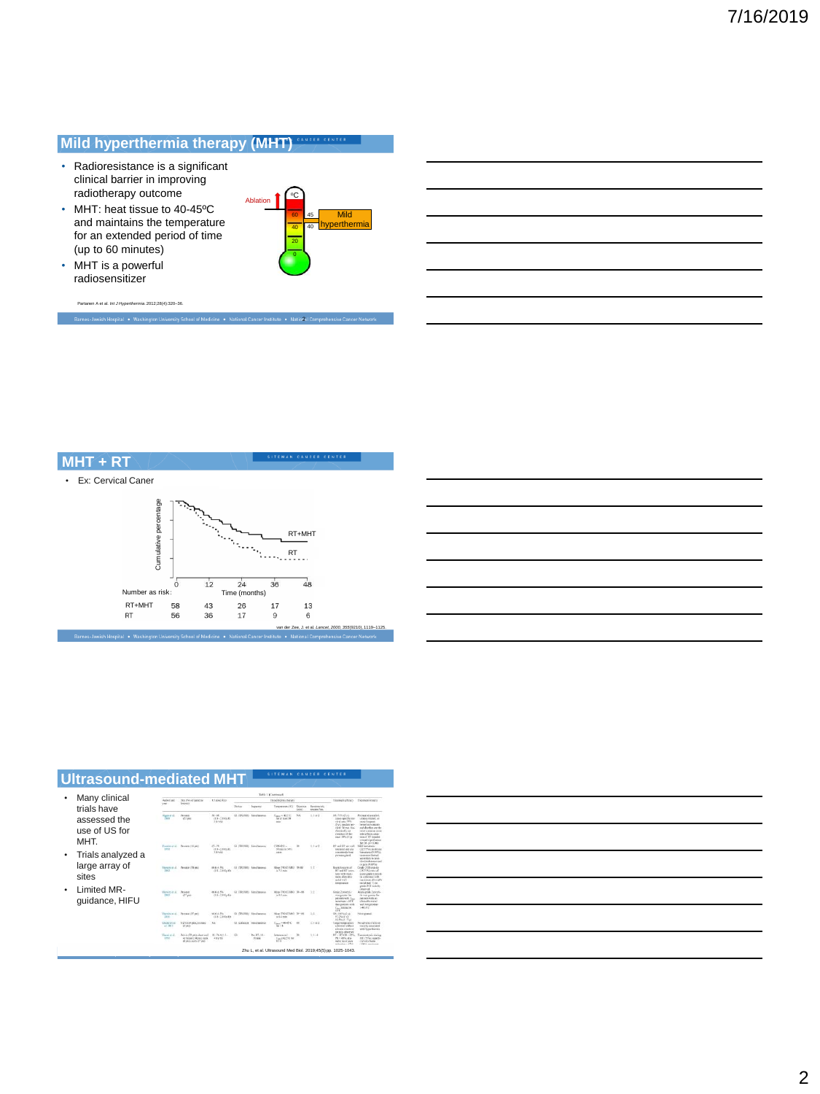# **Mild hyperthermia therapy (MHT)**

- Radioresistance is a significant clinical barrier in improving radiotherapy outcome
- MHT: heat tissue to 40-45ºC and maintains the temperature for an extended period of time (up to 60 minutes)



Partanen A et al. *Int J Hyperthermia*. 2012;28(4):320–36. Barnes-Jewish Hospital . Washington University School of Medicine . National Cancer Institute . Natio 21 Comprehensive Car

• MHT is a powerful radiosensitizer



| Ultrasound-mediated MHT               |                                  |                                        |                                                        |             |                                 | SITEMAN CANCER CENTER                                          |                           |                                   |                                                                                                                                                  |                                                                                                                                                                                                                            |
|---------------------------------------|----------------------------------|----------------------------------------|--------------------------------------------------------|-------------|---------------------------------|----------------------------------------------------------------|---------------------------|-----------------------------------|--------------------------------------------------------------------------------------------------------------------------------------------------|----------------------------------------------------------------------------------------------------------------------------------------------------------------------------------------------------------------------------|
|                                       |                                  |                                        |                                                        |             |                                 |                                                                |                           |                                   |                                                                                                                                                  |                                                                                                                                                                                                                            |
|                                       |                                  | Table 3 (Criminand)                    |                                                        |             |                                 |                                                                |                           |                                   |                                                                                                                                                  |                                                                                                                                                                                                                            |
| Many clinical<br>trials have          | <b>Authorized</b><br><b>View</b> | Staffet of paigray<br><b>Indential</b> | KT doublets                                            |             | Hypothermia framey              |                                                                |                           | Treatment officers                | Tromment Amistic                                                                                                                                 |                                                                                                                                                                                                                            |
|                                       |                                  |                                        |                                                        | Tirston     | Syguetto                        | Telephone (TT)                                                 | Directors<br><b>GALLA</b> | <b>Contemporal</b><br>contain New |                                                                                                                                                  |                                                                                                                                                                                                                            |
| assessed the<br>use of US for<br>MHT. | <b>Download</b><br><b>Face</b>   | Persian<br>G3 and                      | 50-48<br>$(15 - 28)$ Oyft.<br><b>Silvings</b>          | 64 (TRESHE) | <b><i><u>Employment</u></i></b> | $T_{\text{max}} = 42.8\%$<br>for in layer life.<br><b>HELL</b> | N/A                       | $1.1 - 2$<br>m                    | OR TRUSTEN<br>case recife on<br>visal rate 70%<br>(5 y); randas not<br>vival Stone him<br>distribute on<br>middlewing all they<br>Josef SPLUI 15 | Perinand discussioni<br>unisses related, on<br>ment Everaged<br>besid stonages<br>and discharges the<br><b>INVESTIGATION</b> INTO<br>vide of Section demi-<br>towed HT renailed<br>trinied significance<br>for OK Link SAN |
| Trials analyzed a                     | <b>Linux</b>                     | President U.S. (46)                    | $41 - 78$<br>$(11, 31)$ $(10, 10)$<br><b>Stanistic</b> |             | GLY285800 Nanciatoria           | $CMM42.5 -$<br><b>Mingin in NPG</b><br>saint                   | ×                         | 3.3 < 2                           | <b>Brews 19146</b><br>tolerand autom<br>committed a book<br>proster glied                                                                        | <b>Mid-benud and</b><br>(22 TWV andman<br>International OV 20712<br>moneyer Seduct<br>immiday in mai.<br>tion into detaining and<br>or more 19-19 that                                                                     |
| large array of<br>sites               | 190                              | Pennsylvia emi                         | $16.4 - 1\%$<br>$(18 - 2.8 \, \text{GeV})$             |             | Of Chrysler, Associations       | May 790 (1588).<br>to 7.3 mins                                 | <b>TANK</b>               | 12<br>w                           | <b>Bootal Legiptier of</b><br><b>BT</b> wid STT comp.<br>finites with month.<br>case allowable<br>Deal and<br>beendary                           | <b>Dealer 2108 Modella</b><br><b>GSTINX tear of</b><br>sons andy 2 arect<br>in conclusion with<br>matines dissable<br>molt wall Train<br>under 7 CB testima                                                                |
| Limited MR-<br>quidance, HIFU         | Barwlacatal.                     | Printers<br>$(17 \text{ pol})$         | 96.6 & 9%<br>$(1.8 - 3.1)$ Ch/80                       |             | G1 (TRUSH) Simultaneous         | Non 780 (1364) 34-88<br>$16.5.5$ with<br>,,,,,,                |                           | 3.2                               | Grade 2 percents.<br>was genear for<br>estimation T.<br>infrastrum 1-40°C<br>that public site.                                                   | choosest<br>Aren crade 2 centri-<br>ticeus goster lie<br>industry with an<br>allowable room?<br>and together share                                                                                                         |

Disderichen Circle

 $\begin{array}{lll} \textbf{Poisson(22)ptot, char and} & \textbf{H=2n+11.5}\\ \textbf{of $3000 (14\,pm 0.2\,mm),$} & \textbf{40.933}\\ \textbf{cl. gas} & \textbf{cl. gas} \\ \textbf{cl. gas} & \textbf{and.} \\ \end{array}$ 

#### $1\,2$  $\alpha = 0$  in  $T_{\rm max}=46$  $\begin{array}{l} \mbox{Target representation}\\ \mbox{a,thoral selection}\\ \mbox{a,th,(in), control}\\ \mbox{M1} \rightarrow \mbox{M1C} \rightarrow \mbox{M2C} \\ \mbox{M1} \rightarrow \mbox{M1C} \rightarrow \mbox{M2C} \\ \mbox{M1} \rightarrow \mbox{M1C} \rightarrow \mbox{M2C} \\ \mbox{M2} \rightarrow \mbox{M2C} \rightarrow \mbox{M2C} \\ \mbox{m1} \rightarrow \mbox{M2C} \rightarrow \mbox{M2C} \\ \mbox{m1} \rightarrow \mbox{M2C} \rightarrow \mbox{M2C} \\ \mbox{m1} \rightarrow \mbox{M2C$ Ne adverse avenue or<br>trainely processed<br>with byggetheratic  $\lambda$  (  $\lambda$  $\begin{array}{ccc} \text{Pos~RT}, \odot & \text{Inversesal} \\ \text{N} \text{ min} & \mathcal{I}_{\text{neg}}(42.5) \odot \text{for} \end{array} \begin{array}{c} \text{N} \\ \text{N} \\ \text{R3 A} \end{array}$ Conceived pain sharing<br>207 (25%), superfi-<br>cial shira baran<br>2006) received Zhu L, et al. Ultrasound Med Biol. 2019;45(5) pp. 1025-1043.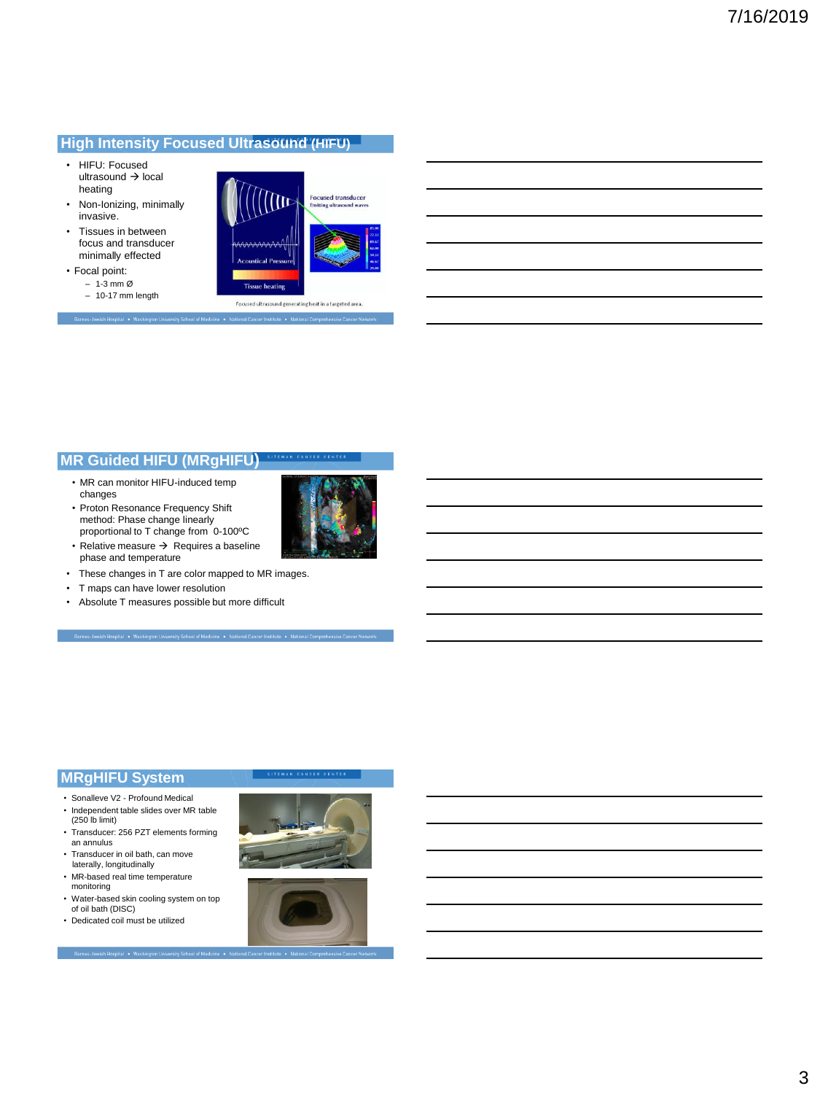## **High Intensity Focused Ultrasound (HIFU)**

- HIFU: Focused ultrasound → local heating
- Non-Ionizing, minimally invasive.
- Tissues in between focus and transducer minimally effected
- Focal point: – 1-3 mm Ø – 10-17 mm length

Rarnes Iswich Mosnital . Was



## **MR Guided HIFU (MRgHIFU)**

- MR can monitor HIFU-induced temp changes
- Proton Resonance Frequency Shift method: Phase change linearly proportional to T change from 0-100°C • Relative measure → Requires a baseline



- These changes in T are color mapped to MR images.
- T maps can have lower resolution

phase and temperature

• Absolute T measures possible but more difficult

## **MRgHIFU System**

- Sonalleve V2 Profound Medical
- Independent table slides over MR table (250 lb limit)
- Transducer: 256 PZT elements forming an annulus • Transducer in oil bath, can move
- laterally, longitudinally
- MR-based real time temperature monitoring
- Water-based skin cooling system on top of oil bath (DISC)
- Dedicated coil must be utilized



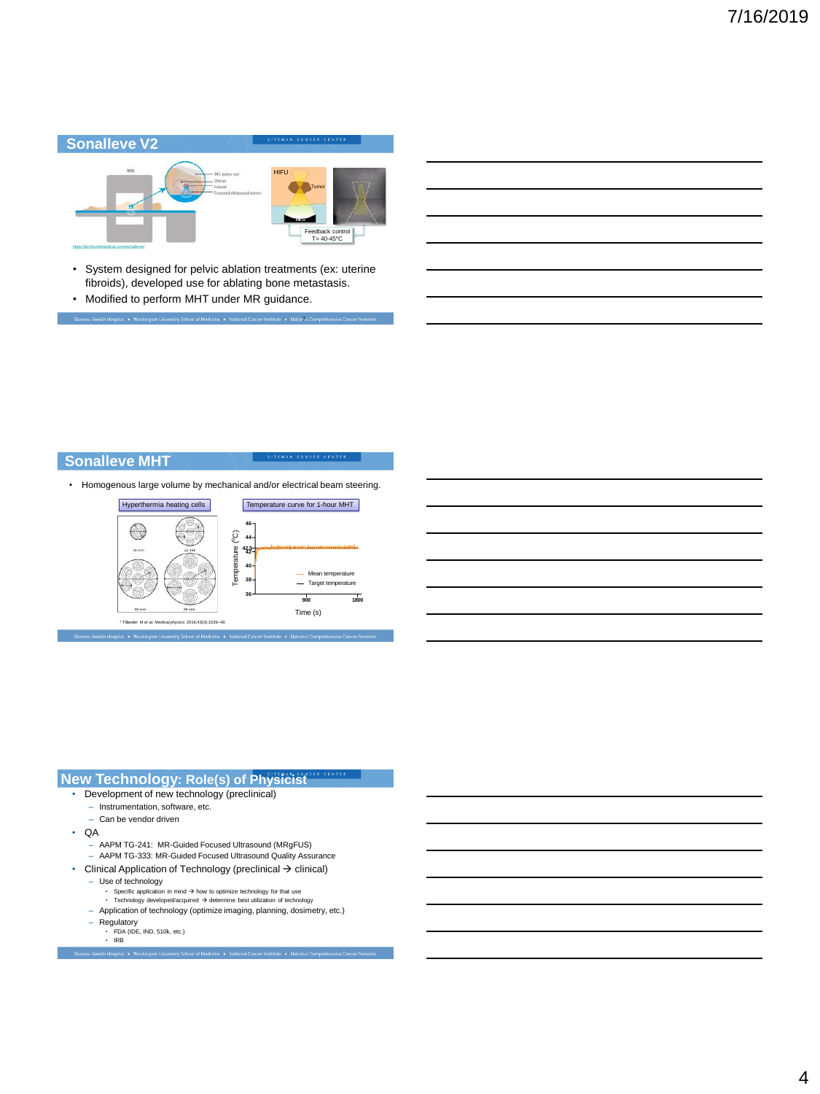

• System designed for pelvic ablation treatments (ex: uterine fibroids), developed use for ablating bone metastasis.

-<br>Barnes-Jewish Hospital • Washington University School of Medicine • National Cancer Institute • National Comprehensive Cancer N

• Modified to perform MHT under MR guidance.

# **Sonalleve MHT**

• Homogenous large volume by mechanical and/or electrical beam steering.



| MAN CANCER CENTER<br><b>New Technology: Role(s) of Physicist</b>                                                                                                     |
|----------------------------------------------------------------------------------------------------------------------------------------------------------------------|
| Development of new technology (preclinical)                                                                                                                          |
| - Instrumentation, software, etc.                                                                                                                                    |
| - Can be vendor driven                                                                                                                                               |
| QA                                                                                                                                                                   |
| - AAPM TG-241: MR-Guided Focused Ultrasound (MRgFUS)                                                                                                                 |
| - AAPM TG-333: MR-Guided Focused Ultrasound Quality Assurance                                                                                                        |
| Clinical Application of Technology (preclinical $\rightarrow$ clinical)<br>٠                                                                                         |
| - Use of technology                                                                                                                                                  |
| Specific application in mind $\rightarrow$ how to optimize technology for that use<br>٠                                                                              |
| Technology developed/acquired $\rightarrow$ determine best utilization of technology<br>٠<br>Application of technology (optimize imaging, planning, dosimetry, etc.) |
|                                                                                                                                                                      |

- 
- Regulatory FDA (IDE, IND, 510k, etc.) IRB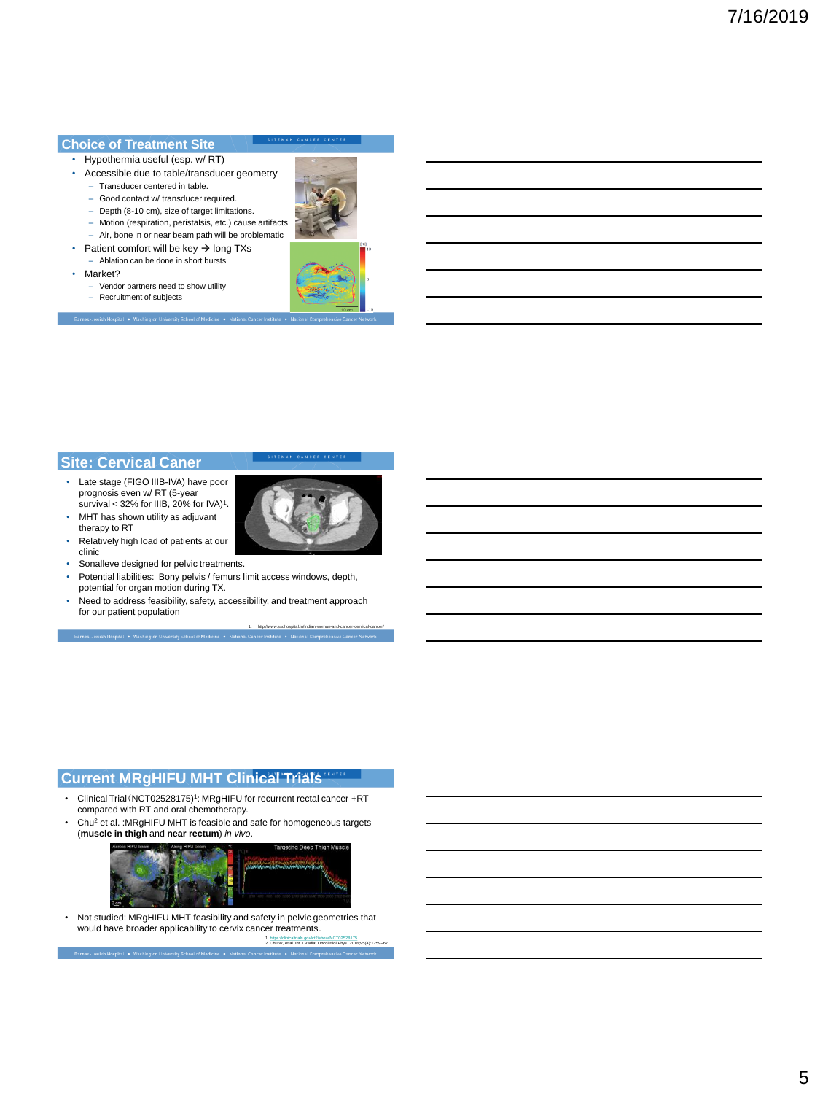### **Choice of Treatment Site**

#### • Hypothermia useful (esp. w/ RT)

- Accessible due to table/transducer geometry
	- Transducer centered in table.
	- Good contact w/ transducer required.
	- Depth (8-10 cm), size of target limitations.
	- Motion (respiration, peristalsis, etc.) cause artifacts
	- Air, bone in or near beam path will be problematic Patient comfort will be key  $\rightarrow$  long TXs
- Ablation can be done in short bursts
- Market?
	- Vendor partners need to show utility
- Recruitment of subjects senas - Iawish Masnital - • Mashinatan University School of



### **Site: Cervical Caner**

- Late stage (FIGO IIIB-IVA) have poor prognosis even w/ RT (5-year<br>survival < 32% for IIIB, 20% for IVA)<sup>1</sup>.
- MHT has shown utility as adjuvant therapy to RT
- Relatively high load of patients at our clinic
- Sonalleve designed for pelvic treatments.
- Potential liabilities: Bony pelvis / femurs limit access windows, depth, potential for organ motion during TX.
- Need to address feasibility, safety, accessibility, and treatment approach for our patient population

1. http://www.ssdhospital.in/indian-woman-and-cancer-cervical-cancer/

### **Current MRgHIFU MHT Clinical Trials**

- Clinical Trial (NCT02528175)<sup>1</sup>: MRgHIFU for recurrent rectal cancer +RT compared with RT and oral chemotherapy.
- Chu<sup>2</sup> et al. :MRgHIFU MHT is feasible and safe for homogeneous targets (**muscle in thigh** and **near rectum**) *in vivo*.



1. <https://clinicaltrials.gov/ct2/show/NCT02528175> 2. Chu W, et al. Int J Radiat Oncol Biol Phys. 2016;95(4):1259–67. • Not studied: MRgHIFU MHT feasibility and safety in pelvic geometries that would have broader applicability to cervix cancer treatments.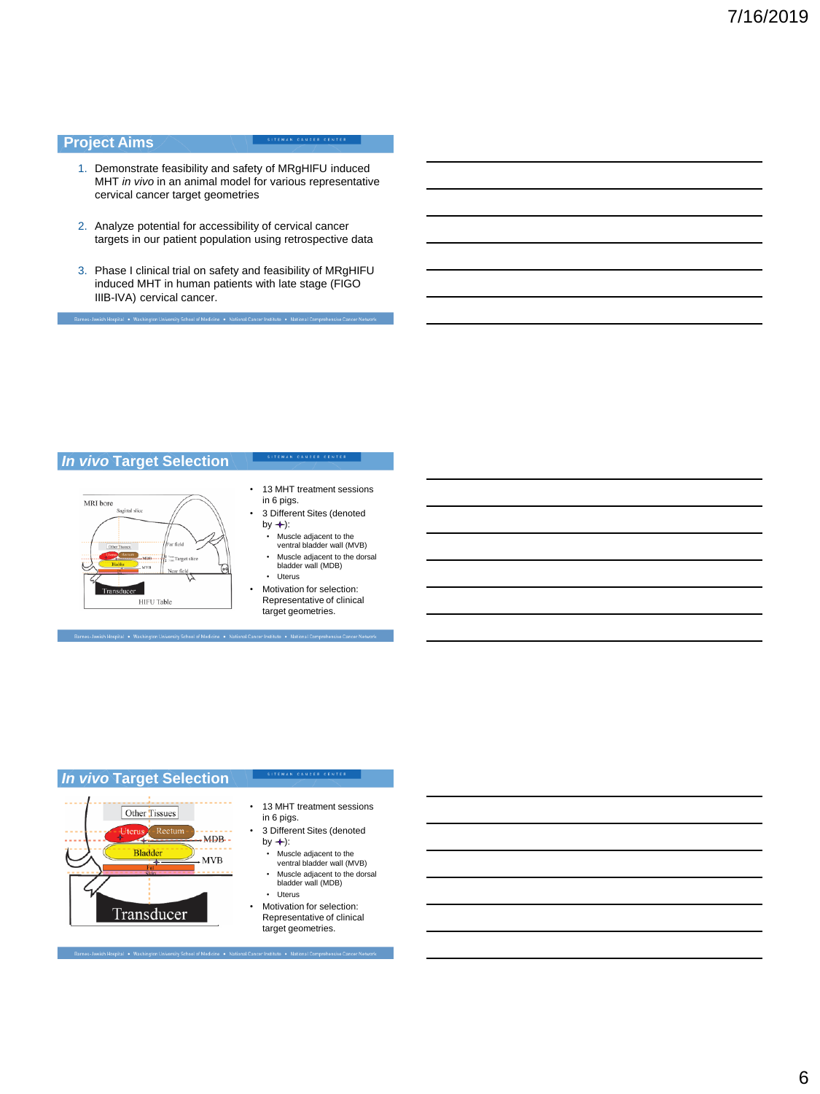### **Project Aims**

Barnes Jawich Hospital . Washington

#### SITEMAN CANCER CENTER

- 1. Demonstrate feasibility and safety of MRgHIFU induced MHT *in vivo* in an animal model for various representative cervical cancer target geometries
- 2. Analyze potential for accessibility of cervical cancer targets in our patient population using retrospective data
- 3. Phase I clinical trial on safety and feasibility of MRgHIFU induced MHT in human patients with late stage (FIGO IIIB-IVA) cervical cancer.

sity School of Medicine . National Cancer Institute . National Comprehensive Ca

## *In vivo* **Target Selection**



- 13 MHT treatment sessions in 6 pigs.
- 3 Different Sites (denoted by  $+$ :
	- Muscle adjacent to the ventral bladder wall (MVB)
	- Muscle adjacent to the dorsal bladder wall (MDB) • Uterus
- Motivation for selection:
- Representative of clinical target geometries.

## *In vivo* **Target Selection**



• 13 MHT treatment sessions in 6 pigs.

SITEMAN CANCER CENTER

- 3 Different Sites (denoted by  $\rightarrow$ :
	- Muscle adjacent to the ventral bladder wall (MVB)
- Muscle adjacent to the dorsal bladder wall (MDB)
- Uterus Motivation for selection: Representative of clinical target geometries.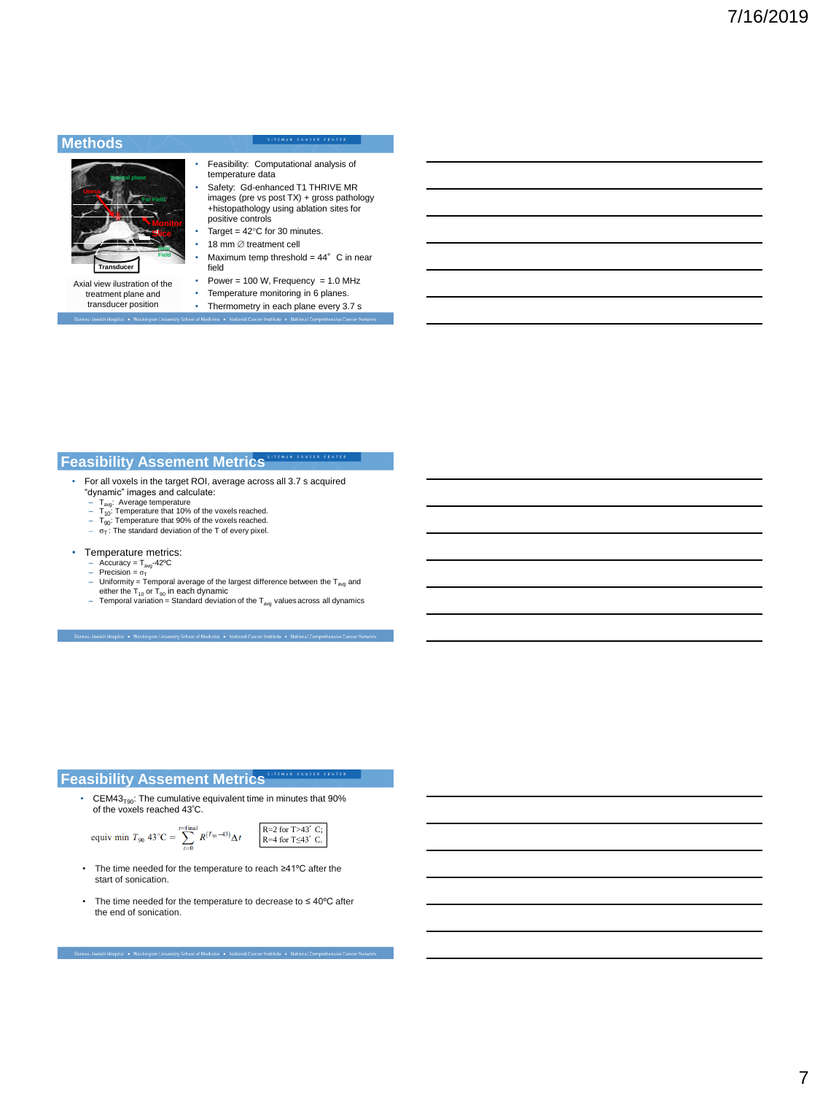### **Methods**

#### SITEMAN CANCER CENTER



Axial view ilustration of the treatment plane and transducer position

#### • Feasibility: Computational analysis of temperature data

- Safety: Gd-enhanced T1 THRIVE MR images (pre vs post TX) + gross pathology +histopathology using ablation sites for positive controls Target =  $42^{\circ}$ C for 30 minutes.
- 18 mm  $\varnothing$  treatment cell
- Maximum temp threshold =  $44^{\circ}$  C in near
- field Power =  $100$  W, Frequency =  $1.0$  MHz
- Temperature monitoring in 6 planes.
- Thermometry in each plane every 3.7 s

### **Feasibility Assement Metrics**

- For all voxels in the target ROI, average across all 3.7 s acquired "dynamic" images and calculate:
	-
	- T<sub>avg</sub>: Average temperature<br>– T<sub>10</sub>: Temperature that 10% of the voxels reached.<br>– T<sub>90</sub>: Temperature that 90% of the voxels reached.<br>– σ<sub>T</sub>: The standard deviation of the T of every pixel.
	-
	-
- Temperature metrics:
	- Accuracy = T<sub>avg</sub>-42°C<br>- Precision = σ<sub>T</sub>
	-
	-
	- Uniformity = Temporal average of the largest difference between the T<sub>avg</sub> and<br>– either the T<sub>10</sub> or T<sub>90</sub> in each dynamic<br>– Temporal variation = Standard deviation of the T<sub>avg</sub> values across all dynamics

# **Feasibility Assement Metrics Experience CENTER**

• CEM43 $_{\text{TSO}}$ : The cumulative equivalent time in minutes that 90% of the voxels reached 43<sup>º</sup>C.

equiv 
$$
T_{90} 43^{\circ}C = \sum_{t=0}^{t=\text{final}} R^{(T_{90}-43)} \Delta t
$$

$$
\begin{array}{|l|}\n\hline\nR=2 for T>43° C; \\
R=4 for T\leq43° C.\n\end{array}
$$

• The time needed for the temperature to reach ≥41ºC after the start of sonication.

rnes-Jewish Hospital • Washington University School of Medicine • National Cancer Institute • N

• The time needed for the temperature to decrease to ≤ 40ºC after the end of sonication.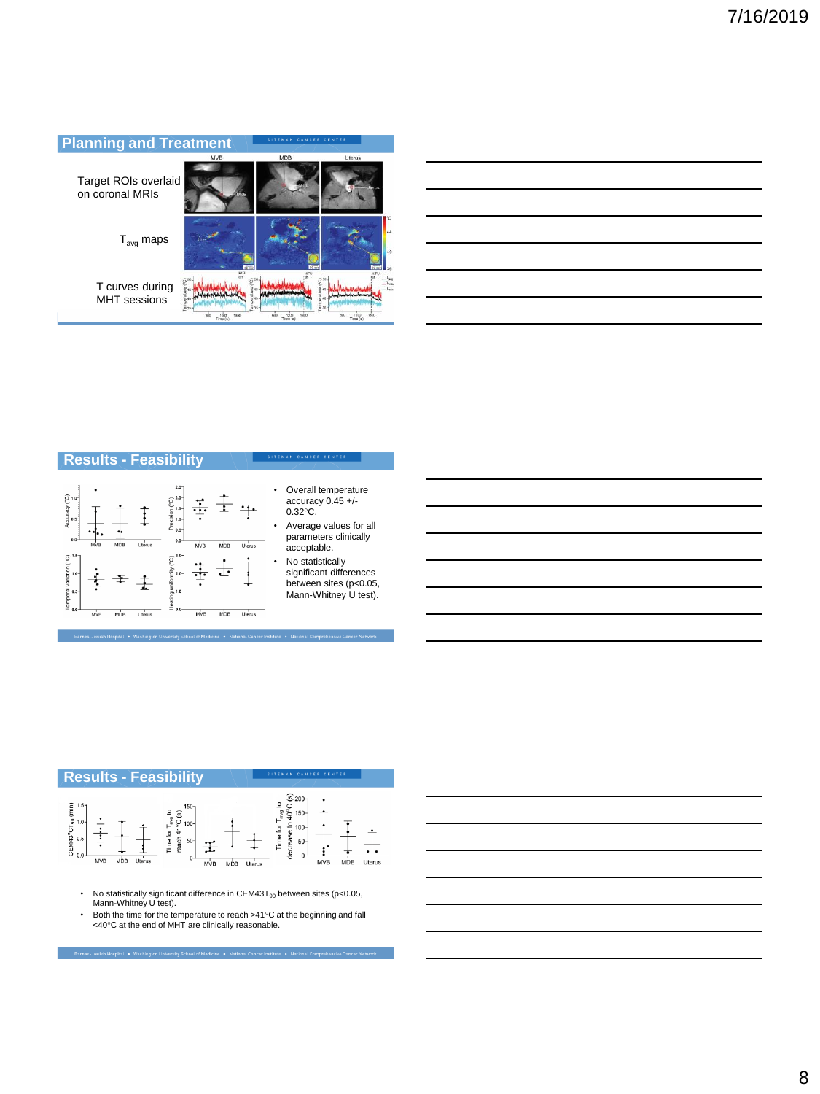

**Results - Feasibility**



- Overall temperature accuracy 0.45 +/- 0.32°C. Average values for all
- parameters clinically acceptable. No statistically
- significant differences between sites (p<0.05, Mann-Whitney U test).





- No statistically significant difference in CEM43T $_{90}$  between sites (p<0.05, Mann-Whitney U test).
- Both the time for the temperature to reach >41°C at the beginning and fall  $\leq 40^{\circ}$ C at the end of MHT are clinically reasonable.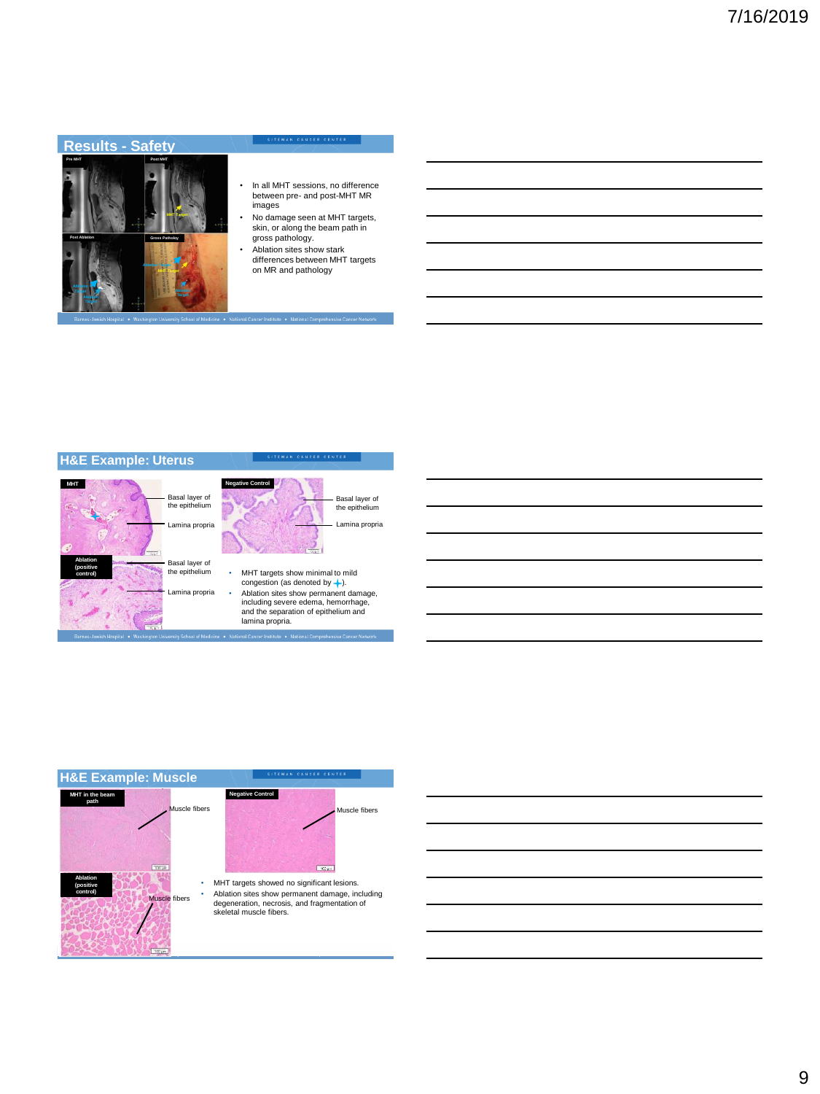## **Results - Safety**



#### SITEMAN CANCER CENTER

- In all MHT sessions, no difference between pre- and post-MHT MR images
- No damage seen at MHT targets, skin, or along the beam path in gross pathology.
- Ablation sites show stark differences between MHT targets

al Cancer Institute · National Compreh

on MR and pathology





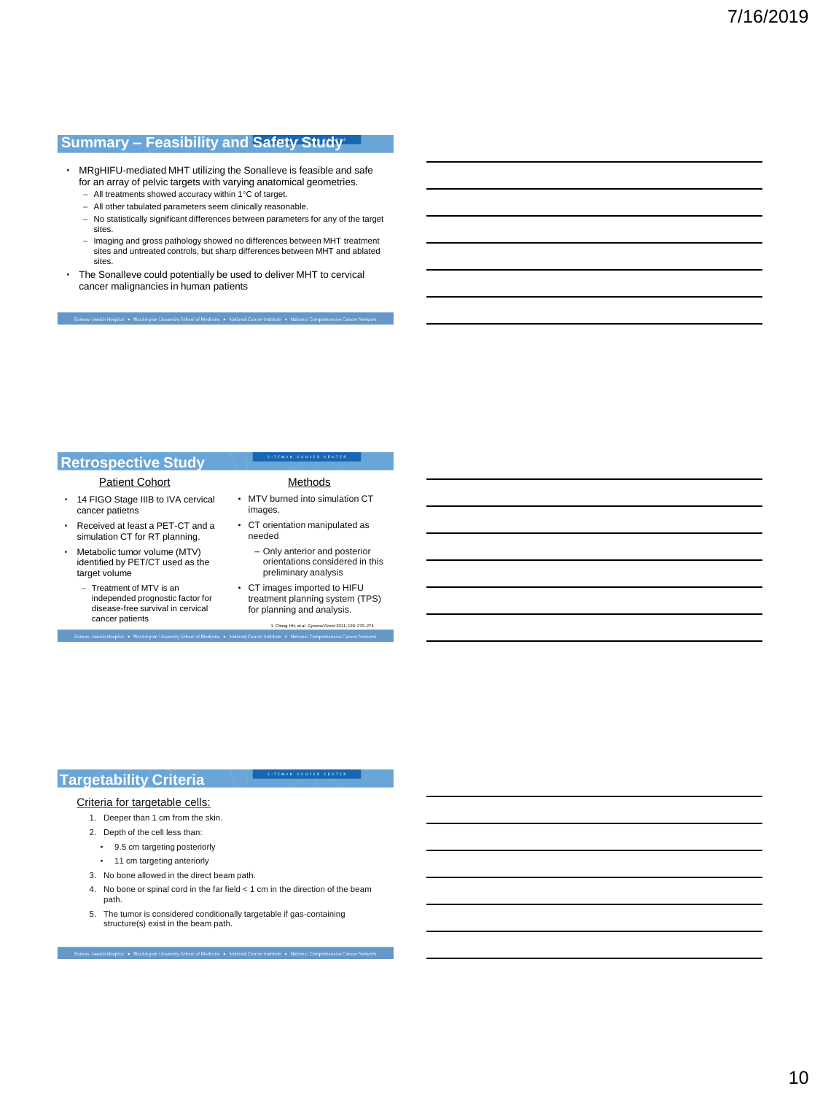# **Summary – Feasibility and Safety Study**

- MRgHIFU-mediated MHT utilizing the Sonalleve is feasible and safe for an array of pelvic targets with varying anatomical geometries.
	- All treatments showed accuracy within 1°C of target.
	- All other tabulated parameters seem clinically reasonable.
	- No statistically significant differences between parameters for any of the target sites.
	- Imaging and gross pathology showed no differences between MHT treatment sites and untreated controls, but sharp differences between MHT and ablated sites.
- The Sonalleve could potentially be used to deliver MHT to cervical cancer malignancies in human patients

#### **Retrospective Study**

Patient Cohort Methods

- 14 FIGO Stage IIIB to IVA cervical cancer patietns
- Received at least a PET-CT and a simulation CT for RT planning.
- Metabolic tumor volume (MTV) identified by PET/CT used as the target volume
	- Treatment of MTV is an independed prognostic factor for disease-free survival in cervical cancer patients

- MTV burned into simulation CT images. • CT orientation manipulated as
- needed
	- Only anterior and posterior orientations considered in this preliminary analysis
- CT images imported to HIFU treatment planning system (TPS) for planning and analysis.

1. Chung HH, et al. *Gynecol Oncol* 2011; 120: 270–274

SITEMAN CANCER CENTER

# **Targetability Criteria**

#### Criteria for targetable cells:

- 1. Deeper than 1 cm from the skin.
- 2. Depth of the cell less than:
	- 9.5 cm targeting posteriorly
	- 11 cm targeting anteriorly
- 3. No bone allowed in the direct beam path.
- 4. No bone or spinal cord in the far field < 1 cm in the direction of the beam path.
- 5. The tumor is considered conditionally targetable if gas-containing structure(s) exist in the beam path.

nes-Jewish Hospital . Washington University School of Medicine . National Cancer Institute . National Cor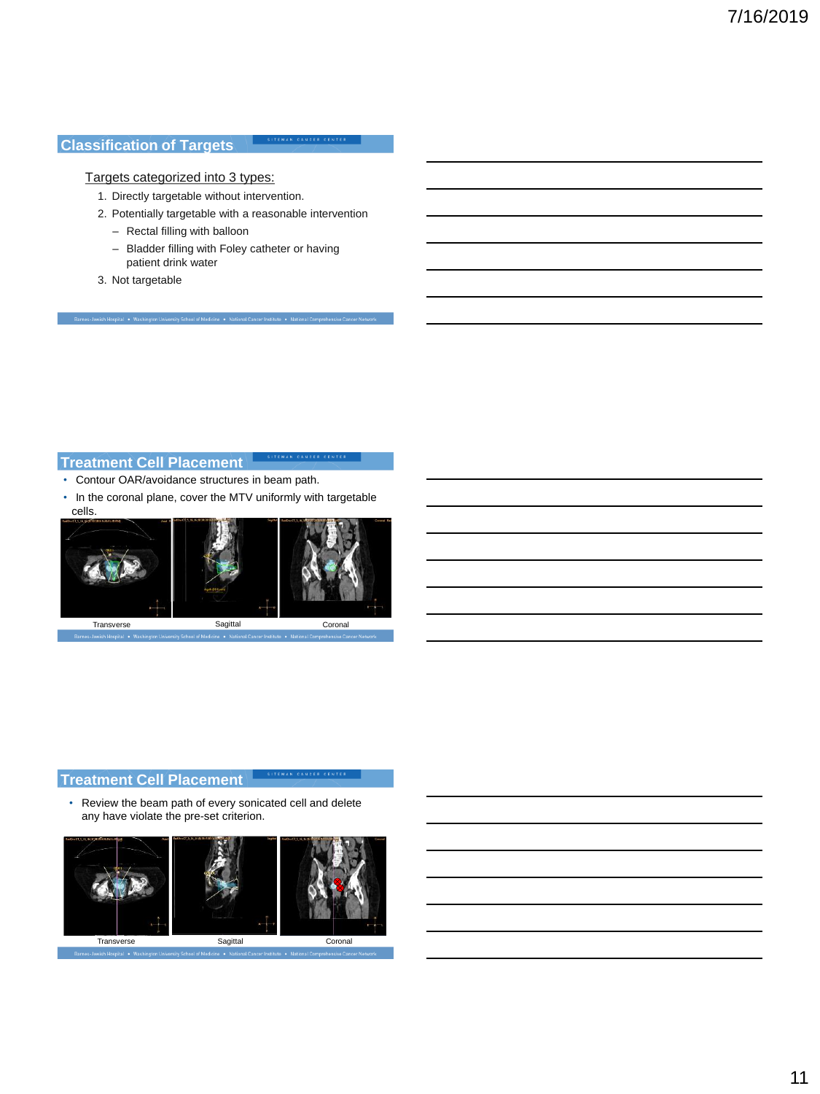# **Classification of Targets**

#### SITEMAN CANCER CENTER

#### Targets categorized into 3 types:

1. Directly targetable without intervention.

Barnes-Jewish Hospital . Washington University School of Medicine . National Cancer Institute . National Comp

- 2. Potentially targetable with a reasonable intervention
	- Rectal filling with balloon
	- Bladder filling with Foley catheter or having patient drink water
- 3. Not targetable

# **Treatment Cell Placement**

- Contour OAR/avoidance structures in beam path.
- In the coronal plane, cover the MTV uniformly with targetable cells.



## **Treatment Cell Placement**

• Review the beam path of every sonicated cell and delete any have violate the pre-set criterion.

SITEMAN CANCER CENTER

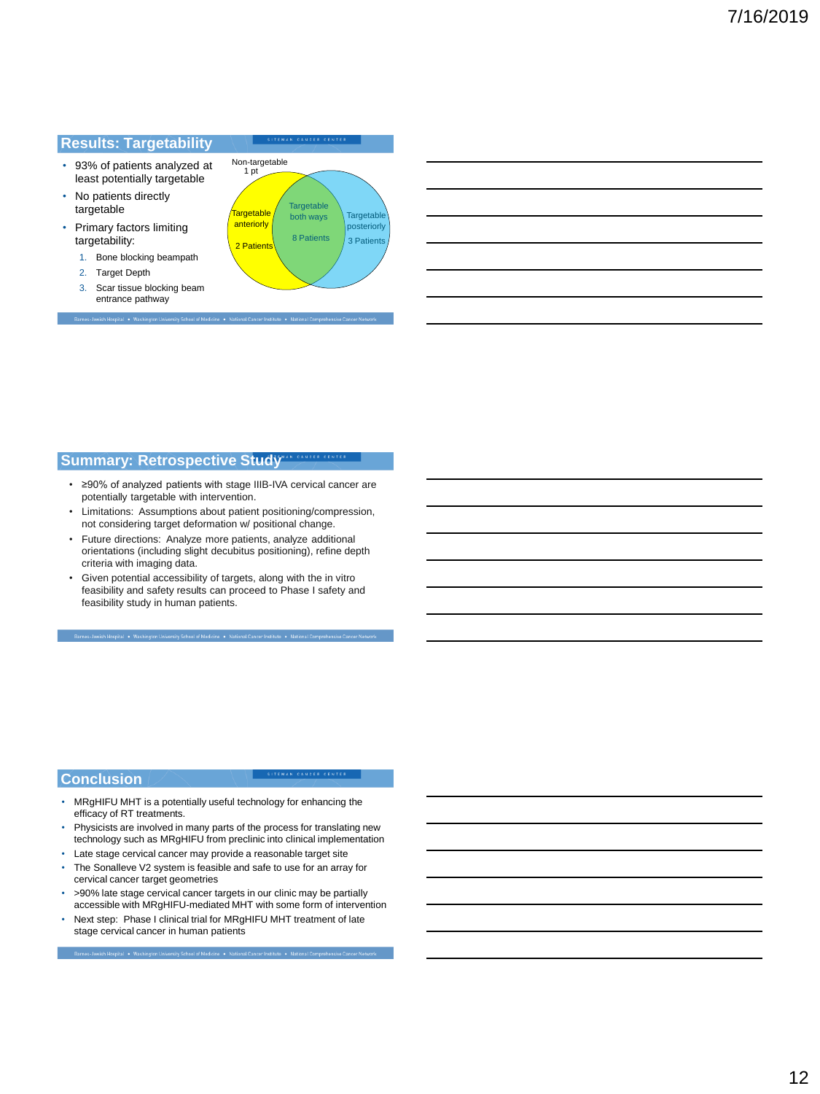#### **Results: Targetability**

- 93% of patients analyzed at least potentially targetable
- No patients directly targetable
- Primary factors limiting targetability:
	- 1. Bone blocking beampath
	- 2. Target Depth
	- 3. Scar tissue blocking beam entrance pathway



SITEMAN CANCER CENTER

## **Summary: Retrospective Study**

- ≥90% of analyzed patients with stage IIIB-IVA cervical cancer are potentially targetable with intervention.
- Limitations: Assumptions about patient positioning/compression, not considering target deformation w/ positional change.
- Future directions: Analyze more patients, analyze additional orientations (including slight decubitus positioning), refine depth criteria with imaging data.
- Given potential accessibility of targets, along with the in vitro feasibility and safety results can proceed to Phase I safety and feasibility study in human patients.

# **Conclusion**

- MRgHIFU MHT is a potentially useful technology for enhancing the efficacy of RT treatments.
- Physicists are involved in many parts of the process for translating new technology such as MRgHIFU from preclinic into clinical implementation

SITEMAN CANCER CENTER

- Late stage cervical cancer may provide a reasonable target site
- The Sonalleve V2 system is feasible and safe to use for an array for cervical cancer target geometries
- >90% late stage cervical cancer targets in our clinic may be partially accessible with MRgHIFU-mediated MHT with some form of intervention
- Next step: Phase I clinical trial for MRgHIFU MHT treatment of late stage cervical cancer in human patients